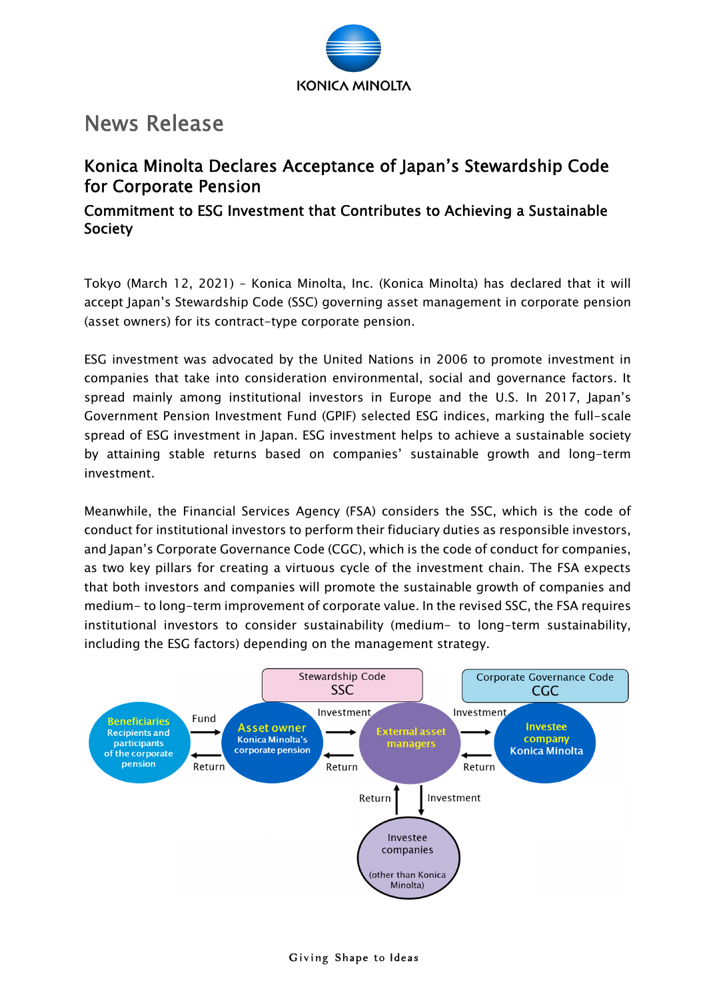

# News Release

## Konica Minolta Declares Acceptance of Japan's Stewardship Code for Corporate Pension

## Commitment to ESG Investment that Contributes to Achieving a Sustainable Society

Tokyo (March 12, 2021) – Konica Minolta, Inc. (Konica Minolta) has declared that it will accept Japan's Stewardship Code (SSC) governing asset management in corporate pension (asset owners) for its contract-type corporate pension.

ESG investment was advocated by the United Nations in 2006 to promote investment in companies that take into consideration environmental, social and governance factors. It spread mainly among institutional investors in Europe and the U.S. In 2017, Japan's Government Pension Investment Fund (GPIF) selected ESG indices, marking the full-scale spread of ESG investment in Japan. ESG investment helps to achieve a sustainable society by attaining stable returns based on companies' sustainable growth and long-term investment.

Meanwhile, the Financial Services Agency (FSA) considers the SSC, which is the code of conduct for institutional investors to perform their fiduciary duties as responsible investors, and Japan's Corporate Governance Code (CGC), which is the code of conduct for companies, as two key pillars for creating a virtuous cycle of the investment chain. The FSA expects that both investors and companies will promote the sustainable growth of companies and medium- to long-term improvement of corporate value. In the revised SSC, the FSA requires institutional investors to consider sustainability (medium- to long-term sustainability, including the ESG factors) depending on the management strategy.